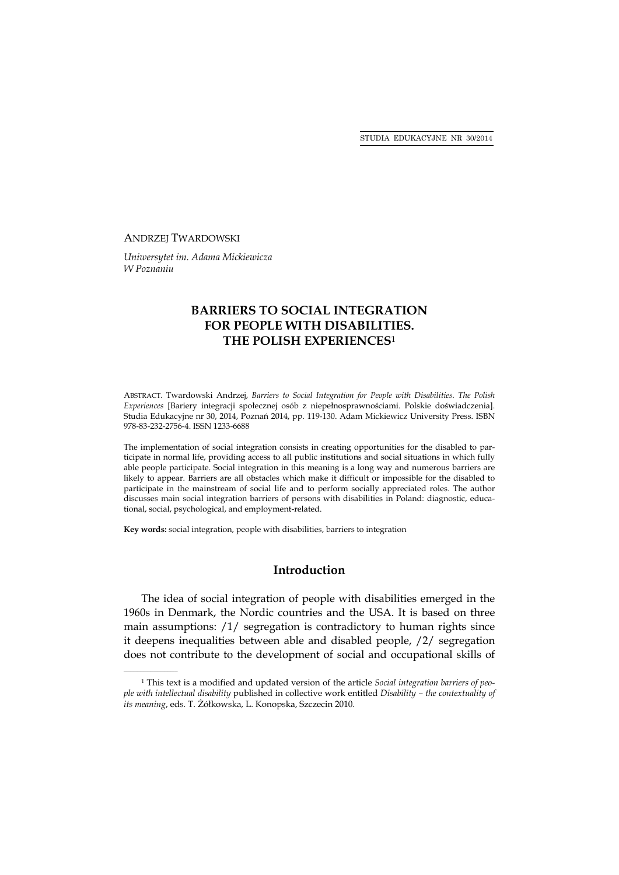STUDIA EDUKACYJNE NR 30/2014

#### ANDRZEJ TWARDOWSKI

*Uniwersytet im. Adama Mickiewicza W Poznaniu* 

# **BARRIERS TO SOCIAL INTEGRATION FOR PEOPLE WITH DISABILITIES. THE POLISH EXPERIENCES**<sup>1</sup>

ABSTRACT. Twardowski Andrzej, *Barriers to Social Integration for People with Disabilities. The Polish Experiences* [Bariery integracji społecznej osób z niepełnosprawnościami. Polskie doświadczenia]. Studia Edukacyjne nr 30, 2014, Poznań 2014, pp. 119-130. Adam Mickiewicz University Press. ISBN 978-83-232-2756-4. ISSN 1233-6688

The implementation of social integration consists in creating opportunities for the disabled to participate in normal life, providing access to all public institutions and social situations in which fully able people participate. Social integration in this meaning is a long way and numerous barriers are likely to appear. Barriers are all obstacles which make it difficult or impossible for the disabled to participate in the mainstream of social life and to perform socially appreciated roles. The author discusses main social integration barriers of persons with disabilities in Poland: diagnostic, educational, social, psychological, and employment-related.

**Key words:** social integration, people with disabilities, barriers to integration

# **Introduction**

The idea of social integration of people with disabilities emerged in the 1960s in Denmark, the Nordic countries and the USA. It is based on three main assumptions: /1/ segregation is contradictory to human rights since it deepens inequalities between able and disabled people, /2/ segregation does not contribute to the development of social and occupational skills of

<sup>1</sup> This text is a modified and updated version of the article *Social integration barriers of people with intellectual disability* published in collective work entitled *Disability – the contextuality of its meaning*, eds. T. Żółkowska, L. Konopska, Szczecin 2010.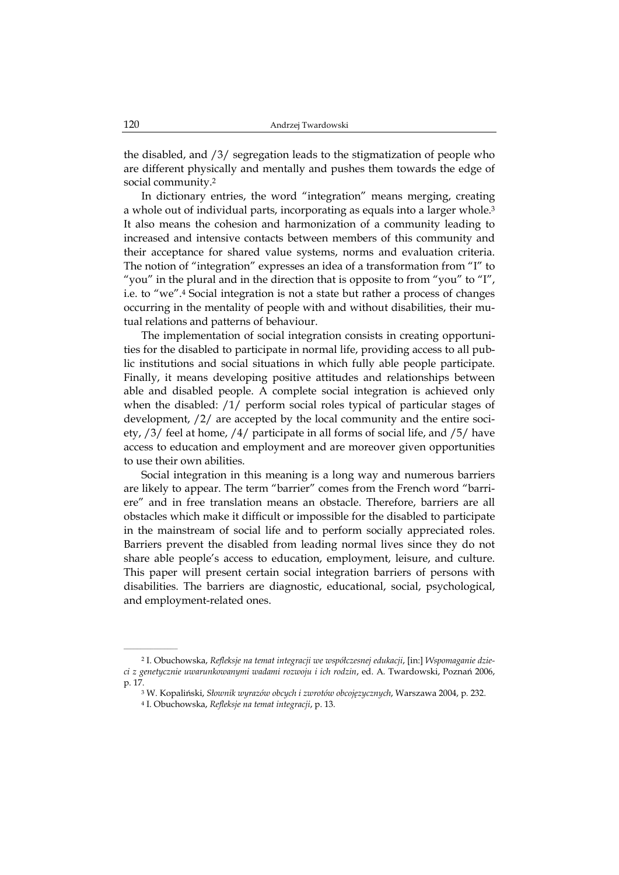the disabled, and /3/ segregation leads to the stigmatization of people who are different physically and mentally and pushes them towards the edge of social community.2

In dictionary entries, the word "integration" means merging, creating a whole out of individual parts, incorporating as equals into a larger whole.<sup>3</sup> It also means the cohesion and harmonization of a community leading to increased and intensive contacts between members of this community and their acceptance for shared value systems, norms and evaluation criteria. The notion of "integration" expresses an idea of a transformation from "I" to "you" in the plural and in the direction that is opposite to from "you" to "I", i.e. to "we".4 Social integration is not a state but rather a process of changes occurring in the mentality of people with and without disabilities, their mutual relations and patterns of behaviour.

The implementation of social integration consists in creating opportunities for the disabled to participate in normal life, providing access to all public institutions and social situations in which fully able people participate. Finally, it means developing positive attitudes and relationships between able and disabled people. A complete social integration is achieved only when the disabled: /1/ perform social roles typical of particular stages of development, /2/ are accepted by the local community and the entire society, /3/ feel at home, /4/ participate in all forms of social life, and /5/ have access to education and employment and are moreover given opportunities to use their own abilities.

Social integration in this meaning is a long way and numerous barriers are likely to appear. The term "barrier" comes from the French word "barriere" and in free translation means an obstacle. Therefore, barriers are all obstacles which make it difficult or impossible for the disabled to participate in the mainstream of social life and to perform socially appreciated roles. Barriers prevent the disabled from leading normal lives since they do not share able people's access to education, employment, leisure, and culture. This paper will present certain social integration barriers of persons with disabilities. The barriers are diagnostic, educational, social, psychological, and employment-related ones.

<sup>2</sup> I. Obuchowska, *Refleksje na temat integracji we współczesnej edukacji*, [in:] *Wspomaganie dzieci z genetycznie uwarunkowanymi wadami rozwoju i ich rodzin*, ed. A*.* Twardowski, Poznań 2006, p. 17.

<sup>3</sup> W. Kopaliński, *Słownik wyrazów obcych i zwrotów obcojęzycznych*, Warszawa 2004, p. 232.

<sup>4</sup> I. Obuchowska, *Refleksje na temat integracji*, p. 13.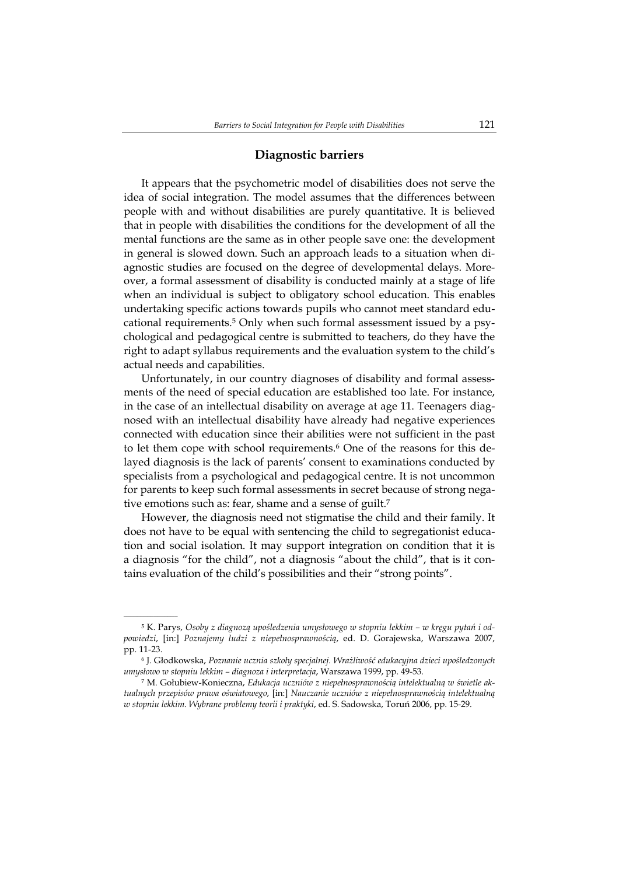# **Diagnostic barriers**

It appears that the psychometric model of disabilities does not serve the idea of social integration. The model assumes that the differences between people with and without disabilities are purely quantitative. It is believed that in people with disabilities the conditions for the development of all the mental functions are the same as in other people save one: the development in general is slowed down. Such an approach leads to a situation when diagnostic studies are focused on the degree of developmental delays. Moreover, a formal assessment of disability is conducted mainly at a stage of life when an individual is subject to obligatory school education. This enables undertaking specific actions towards pupils who cannot meet standard educational requirements.5 Only when such formal assessment issued by a psychological and pedagogical centre is submitted to teachers, do they have the right to adapt syllabus requirements and the evaluation system to the child's actual needs and capabilities.

Unfortunately, in our country diagnoses of disability and formal assessments of the need of special education are established too late. For instance, in the case of an intellectual disability on average at age 11. Teenagers diagnosed with an intellectual disability have already had negative experiences connected with education since their abilities were not sufficient in the past to let them cope with school requirements.6 One of the reasons for this delayed diagnosis is the lack of parents' consent to examinations conducted by specialists from a psychological and pedagogical centre. It is not uncommon for parents to keep such formal assessments in secret because of strong negative emotions such as: fear, shame and a sense of guilt.<sup>7</sup>

However, the diagnosis need not stigmatise the child and their family. It does not have to be equal with sentencing the child to segregationist education and social isolation. It may support integration on condition that it is a diagnosis "for the child", not a diagnosis "about the child", that is it contains evaluation of the child's possibilities and their "strong points".

 $\mathcal{L}=\mathcal{L}^{\mathcal{L}}$ 

<sup>5</sup> K. Parys, *Osoby z diagnozą upośledzenia umysłowego w stopniu lekkim – w kręgu pytań i odpowiedzi*, [in:] *Poznajemy ludzi z niepełnosprawnością*, ed. D. Gorajewska, Warszawa 2007, pp. 11-23.

<sup>6</sup> J. Głodkowska, *Poznanie ucznia szkoły specjalnej. Wrażliwość edukacyjna dzieci upośledzonych umysłowo w stopniu lekkim – diagnoza i interpretacja*, Warszawa 1999, pp. 49-53.

<sup>7</sup> M. Gołubiew-Konieczna, *Edukacja uczniów z niepełnosprawnością intelektualną w świetle aktualnych przepisów prawa oświatowego*, [in:] *Nauczanie uczniów z niepełnosprawnością intelektualną w stopniu lekkim. Wybrane problemy teorii i praktyki*, ed. S. Sadowska, Toruń 2006, pp. 15-29.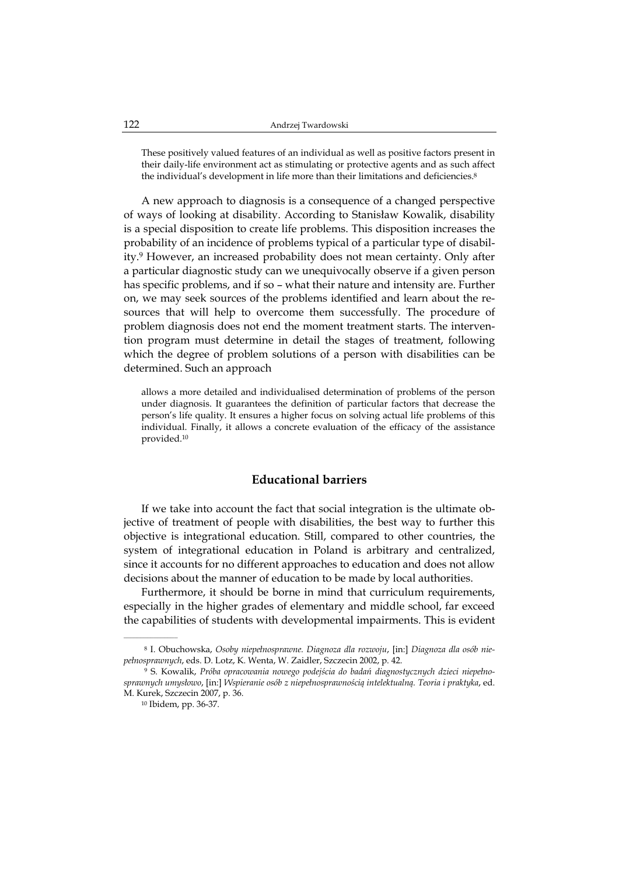These positively valued features of an individual as well as positive factors present in their daily-life environment act as stimulating or protective agents and as such affect the individual's development in life more than their limitations and deficiencies.<sup>8</sup>

A new approach to diagnosis is a consequence of a changed perspective of ways of looking at disability. According to Stanisław Kowalik, disability is a special disposition to create life problems. This disposition increases the probability of an incidence of problems typical of a particular type of disability.9 However, an increased probability does not mean certainty. Only after a particular diagnostic study can we unequivocally observe if a given person has specific problems, and if so – what their nature and intensity are. Further on, we may seek sources of the problems identified and learn about the resources that will help to overcome them successfully. The procedure of problem diagnosis does not end the moment treatment starts. The intervention program must determine in detail the stages of treatment, following which the degree of problem solutions of a person with disabilities can be determined. Such an approach

allows a more detailed and individualised determination of problems of the person under diagnosis. It guarantees the definition of particular factors that decrease the person's life quality. It ensures a higher focus on solving actual life problems of this individual. Finally, it allows a concrete evaluation of the efficacy of the assistance provided.10

# **Educational barriers**

If we take into account the fact that social integration is the ultimate objective of treatment of people with disabilities, the best way to further this objective is integrational education. Still, compared to other countries, the system of integrational education in Poland is arbitrary and centralized, since it accounts for no different approaches to education and does not allow decisions about the manner of education to be made by local authorities.

Furthermore, it should be borne in mind that curriculum requirements, especially in the higher grades of elementary and middle school, far exceed the capabilities of students with developmental impairments. This is evident

<sup>8</sup> I. Obuchowska, *Osoby niepełnosprawne. Diagnoza dla rozwoju*, [in:] *Diagnoza dla osób niepełnosprawnych*, eds. D. Lotz, K. Wenta, W. Zaidler, Szczecin 2002, p. 42.

<sup>9</sup> S. Kowalik, *Próba opracowania nowego podejścia do badań diagnostycznych dzieci niepełnosprawnych umysłowo*, [in:] *Wspieranie osób z niepełnosprawnością intelektualną. Teoria i praktyka*, ed. M. Kurek, Szczecin 2007, p. 36.

<sup>10</sup> Ibidem, pp. 36-37.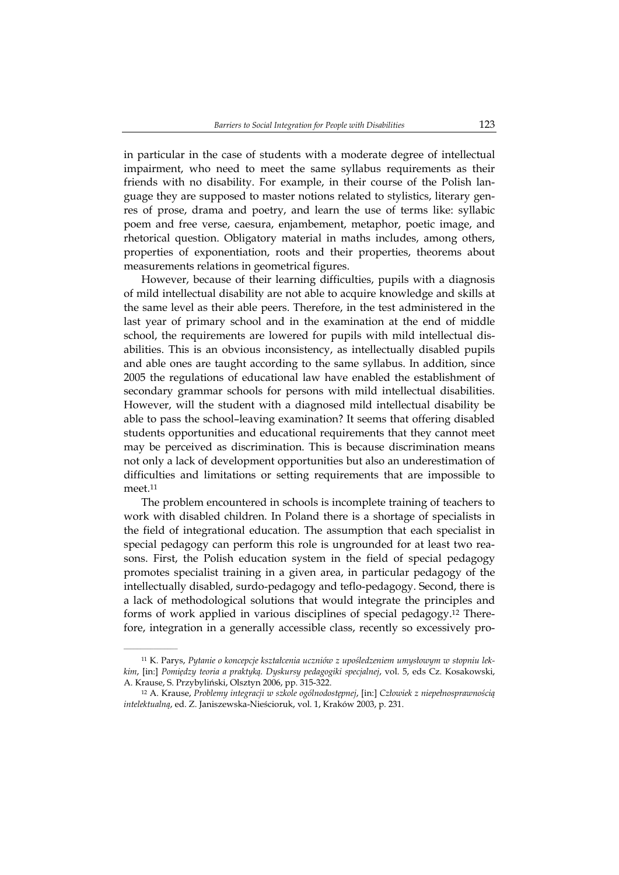in particular in the case of students with a moderate degree of intellectual impairment, who need to meet the same syllabus requirements as their friends with no disability. For example, in their course of the Polish language they are supposed to master notions related to stylistics, literary genres of prose, drama and poetry, and learn the use of terms like: syllabic poem and free verse, caesura, enjambement, metaphor, poetic image, and rhetorical question. Obligatory material in maths includes, among others, properties of exponentiation, roots and their properties, theorems about measurements relations in geometrical figures.

However, because of their learning difficulties, pupils with a diagnosis of mild intellectual disability are not able to acquire knowledge and skills at the same level as their able peers. Therefore, in the test administered in the last year of primary school and in the examination at the end of middle school, the requirements are lowered for pupils with mild intellectual disabilities. This is an obvious inconsistency, as intellectually disabled pupils and able ones are taught according to the same syllabus. In addition, since 2005 the regulations of educational law have enabled the establishment of secondary grammar schools for persons with mild intellectual disabilities. However, will the student with a diagnosed mild intellectual disability be able to pass the school–leaving examination? It seems that offering disabled students opportunities and educational requirements that they cannot meet may be perceived as discrimination. This is because discrimination means not only a lack of development opportunities but also an underestimation of difficulties and limitations or setting requirements that are impossible to meet.11

The problem encountered in schools is incomplete training of teachers to work with disabled children. In Poland there is a shortage of specialists in the field of integrational education. The assumption that each specialist in special pedagogy can perform this role is ungrounded for at least two reasons. First, the Polish education system in the field of special pedagogy promotes specialist training in a given area, in particular pedagogy of the intellectually disabled, surdo-pedagogy and teflo-pedagogy. Second, there is a lack of methodological solutions that would integrate the principles and forms of work applied in various disciplines of special pedagogy.12 Therefore, integration in a generally accessible class, recently so excessively pro-

<sup>11</sup> K. Parys, *Pytanie o koncepcje kształcenia uczniów z upośledzeniem umysłowym w stopniu lekkim*, [in:] *Pomiędzy teoria a praktyką. Dyskursy pedagogiki specjalnej*, vol. 5, eds Cz. Kosakowski, A. Krause, S. Przybyliński, Olsztyn 2006, pp. 315-322.

<sup>12</sup> A. Krause, *Problemy integracji w szkole ogólnodostępnej*, [in:] *Człowiek z niepełnosprawnością intelektualną*, ed. Z. Janiszewska-Nieścioruk, vol. 1, Kraków 2003, p. 231.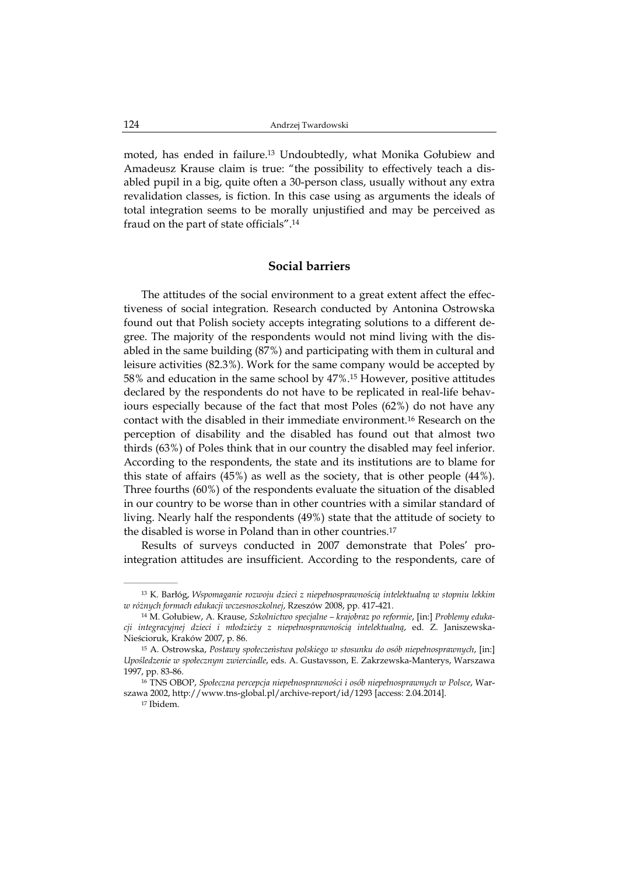moted, has ended in failure.13 Undoubtedly, what Monika Gołubiew and Amadeusz Krause claim is true: "the possibility to effectively teach a disabled pupil in a big, quite often a 30-person class, usually without any extra revalidation classes, is fiction. In this case using as arguments the ideals of total integration seems to be morally unjustified and may be perceived as fraud on the part of state officials".14

# **Social barriers**

The attitudes of the social environment to a great extent affect the effectiveness of social integration. Research conducted by Antonina Ostrowska found out that Polish society accepts integrating solutions to a different degree. The majority of the respondents would not mind living with the disabled in the same building (87%) and participating with them in cultural and leisure activities (82.3%). Work for the same company would be accepted by 58% and education in the same school by 47%.15 However, positive attitudes declared by the respondents do not have to be replicated in real-life behaviours especially because of the fact that most Poles (62%) do not have any contact with the disabled in their immediate environment.16 Research on the perception of disability and the disabled has found out that almost two thirds (63%) of Poles think that in our country the disabled may feel inferior. According to the respondents, the state and its institutions are to blame for this state of affairs (45%) as well as the society, that is other people (44%). Three fourths (60%) of the respondents evaluate the situation of the disabled in our country to be worse than in other countries with a similar standard of living. Nearly half the respondents (49%) state that the attitude of society to the disabled is worse in Poland than in other countries.17

Results of surveys conducted in 2007 demonstrate that Poles' prointegration attitudes are insufficient. According to the respondents, care of

17 Ibidem.

 $\mathcal{L}=\mathcal{L}=\mathcal{L}=\mathcal{L}=\mathcal{L}=\mathcal{L}$ 

<sup>13</sup> K. Barłóg, *Wspomaganie rozwoju dzieci z niepełnosprawnością intelektualną w stopniu lekkim w różnych formach edukacji wczesnoszkolnej*, Rzeszów 2008, pp. 417-421.

<sup>14</sup> M. Gołubiew, A. Krause, *Szkolnictwo specjalne – krajobraz po reformie*, [in:] *Problemy edukacji integracyjnej dzieci i młodzieży z niepełnosprawnością intelektualną*, ed. Z. Janiszewska-Nieścioruk, Kraków 2007, p. 86.

<sup>15</sup> A. Ostrowska, *Postawy społeczeństwa polskiego w stosunku do osób niepełnosprawnych*, [in:] *Upośledzenie w społecznym zwierciadle*, eds. A. Gustavsson, E. Zakrzewska-Manterys, Warszawa 1997, pp. 83-86.

<sup>16</sup> TNS OBOP, *Społeczna percepcja niepełnosprawności i osób niepełnosprawnych w Polsce*, Warszawa 2002, http://www.tns-global.pl/archive-report/id/1293 [access: 2.04.2014].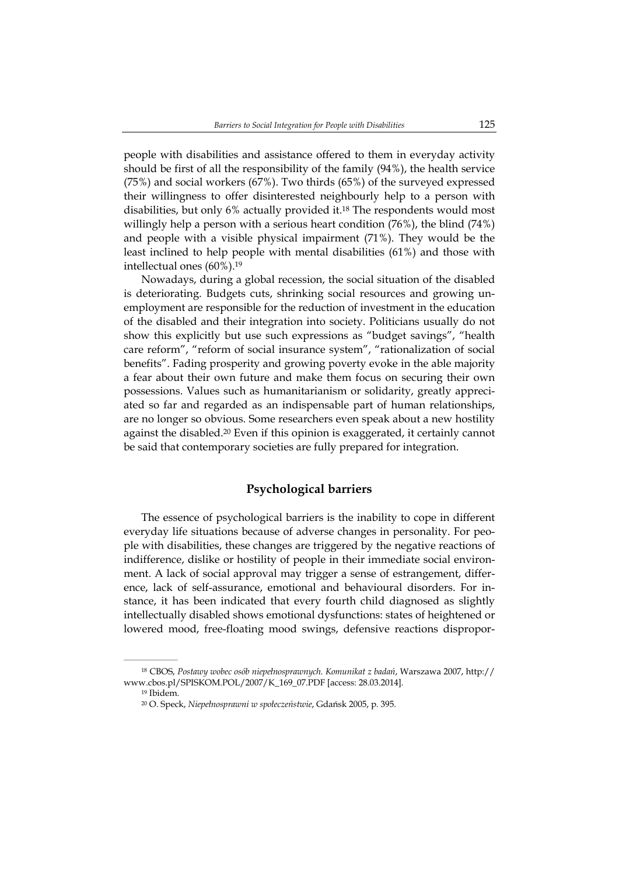people with disabilities and assistance offered to them in everyday activity should be first of all the responsibility of the family (94%), the health service (75%) and social workers (67%). Two thirds (65%) of the surveyed expressed their willingness to offer disinterested neighbourly help to a person with disabilities, but only 6% actually provided it.18 The respondents would most willingly help a person with a serious heart condition (76%), the blind (74%) and people with a visible physical impairment (71%). They would be the least inclined to help people with mental disabilities (61%) and those with intellectual ones (60%).19

Nowadays, during a global recession, the social situation of the disabled is deteriorating. Budgets cuts, shrinking social resources and growing unemployment are responsible for the reduction of investment in the education of the disabled and their integration into society. Politicians usually do not show this explicitly but use such expressions as "budget savings", "health care reform", "reform of social insurance system", "rationalization of social benefits". Fading prosperity and growing poverty evoke in the able majority a fear about their own future and make them focus on securing their own possessions. Values such as humanitarianism or solidarity, greatly appreciated so far and regarded as an indispensable part of human relationships, are no longer so obvious. Some researchers even speak about a new hostility against the disabled.20 Even if this opinion is exaggerated, it certainly cannot be said that contemporary societies are fully prepared for integration.

# **Psychological barriers**

The essence of psychological barriers is the inability to cope in different everyday life situations because of adverse changes in personality. For people with disabilities, these changes are triggered by the negative reactions of indifference, dislike or hostility of people in their immediate social environment. A lack of social approval may trigger a sense of estrangement, difference, lack of self-assurance, emotional and behavioural disorders. For instance, it has been indicated that every fourth child diagnosed as slightly intellectually disabled shows emotional dysfunctions: states of heightened or lowered mood, free-floating mood swings, defensive reactions dispropor-

<sup>18</sup> CBOS, *Postawy wobec osób niepełnosprawnych. Komunikat z badań*, Warszawa 2007, http:// www.cbos.pl/SPISKOM.POL/2007/K\_169\_07.PDF [access: 28.03.2014].

<sup>19</sup> Ibidem.

<sup>20</sup> O. Speck, *Niepełnosprawni w społeczeństwie*, Gdańsk 2005, p. 395.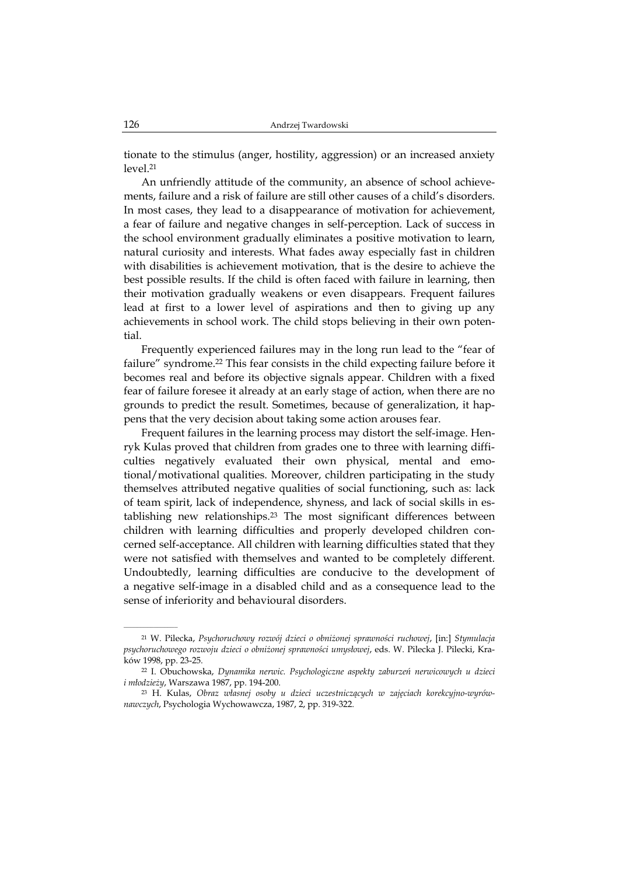tionate to the stimulus (anger, hostility, aggression) or an increased anxiety level.21

An unfriendly attitude of the community, an absence of school achievements, failure and a risk of failure are still other causes of a child's disorders. In most cases, they lead to a disappearance of motivation for achievement, a fear of failure and negative changes in self-perception. Lack of success in the school environment gradually eliminates a positive motivation to learn, natural curiosity and interests. What fades away especially fast in children with disabilities is achievement motivation, that is the desire to achieve the best possible results. If the child is often faced with failure in learning, then their motivation gradually weakens or even disappears. Frequent failures lead at first to a lower level of aspirations and then to giving up any achievements in school work. The child stops believing in their own potential.

Frequently experienced failures may in the long run lead to the "fear of failure" syndrome.22 This fear consists in the child expecting failure before it becomes real and before its objective signals appear. Children with a fixed fear of failure foresee it already at an early stage of action, when there are no grounds to predict the result. Sometimes, because of generalization, it happens that the very decision about taking some action arouses fear.

Frequent failures in the learning process may distort the self-image. Henryk Kulas proved that children from grades one to three with learning difficulties negatively evaluated their own physical, mental and emotional/motivational qualities. Moreover, children participating in the study themselves attributed negative qualities of social functioning, such as: lack of team spirit, lack of independence, shyness, and lack of social skills in establishing new relationships.23 The most significant differences between children with learning difficulties and properly developed children concerned self-acceptance. All children with learning difficulties stated that they were not satisfied with themselves and wanted to be completely different. Undoubtedly, learning difficulties are conducive to the development of a negative self-image in a disabled child and as a consequence lead to the sense of inferiority and behavioural disorders.

 $\mathcal{L}=\mathcal{L}^{\mathcal{L}}$ 

<sup>21</sup> W. Pilecka, *Psychoruchowy rozwój dzieci o obniżonej sprawności ruchowej*, [in:] *Stymulacja psychoruchowego rozwoju dzieci o obniżonej sprawności umysłowej*, eds. W. Pilecka J. Pilecki, Kraków 1998, pp. 23-25.

<sup>22</sup> I. Obuchowska, *Dynamika nerwic. Psychologiczne aspekty zaburzeń nerwicowych u dzieci i młodzieży*, Warszawa 1987, pp. 194-200.

<sup>23</sup> H. Kulas, *Obraz własnej osoby u dzieci uczestniczących w zajęciach korekcyjno-wyrównawczych*, Psychologia Wychowawcza, 1987, 2, pp. 319-322.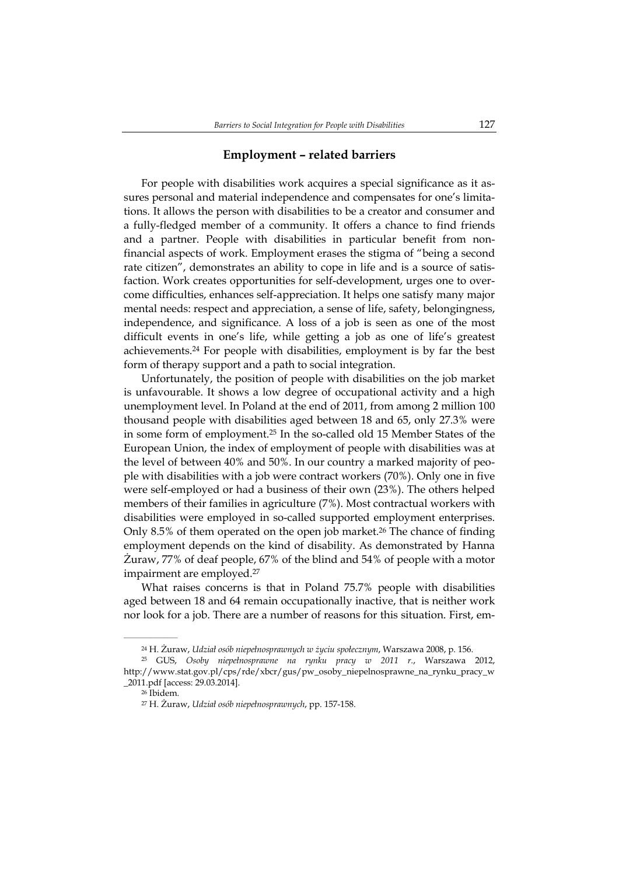## **Employment – related barriers**

For people with disabilities work acquires a special significance as it assures personal and material independence and compensates for one's limitations. It allows the person with disabilities to be a creator and consumer and a fully-fledged member of a community. It offers a chance to find friends and a partner. People with disabilities in particular benefit from nonfinancial aspects of work. Employment erases the stigma of "being a second rate citizen", demonstrates an ability to cope in life and is a source of satisfaction. Work creates opportunities for self-development, urges one to overcome difficulties, enhances self-appreciation. It helps one satisfy many major mental needs: respect and appreciation, a sense of life, safety, belongingness, independence, and significance. A loss of a job is seen as one of the most difficult events in one's life, while getting a job as one of life's greatest achievements.24 For people with disabilities, employment is by far the best form of therapy support and a path to social integration.

Unfortunately, the position of people with disabilities on the job market is unfavourable. It shows a low degree of occupational activity and a high unemployment level. In Poland at the end of 2011, from among 2 million 100 thousand people with disabilities aged between 18 and 65, only 27.3% were in some form of employment.25 In the so-called old 15 Member States of the European Union, the index of employment of people with disabilities was at the level of between 40% and 50%. In our country a marked majority of people with disabilities with a job were contract workers (70%). Only one in five were self-employed or had a business of their own (23%). The others helped members of their families in agriculture (7%). Most contractual workers with disabilities were employed in so-called supported employment enterprises. Only 8.5% of them operated on the open job market.26 The chance of finding employment depends on the kind of disability. As demonstrated by Hanna Żuraw, 77% of deaf people, 67% of the blind and 54% of people with a motor impairment are employed.<sup>27</sup>

What raises concerns is that in Poland 75.7% people with disabilities aged between 18 and 64 remain occupationally inactive, that is neither work nor look for a job. There are a number of reasons for this situation. First, em-

<sup>24</sup> H. Żuraw, *Udział osób niepełnosprawnych w życiu społecznym*, Warszawa 2008, p. 156.

<sup>25</sup> GUS, *Osoby niepełnosprawne na rynku pracy w 2011 r.*, Warszawa 2012, http://www.stat.gov.pl/cps/rde/xbcr/gus/pw\_osoby\_niepelnosprawne\_na\_rynku\_pracy\_w \_2011.pdf [access: 29.03.2014].

<sup>26</sup> Ibidem.

<sup>27</sup> H. Żuraw, *Udział osób niepełnosprawnych*, pp. 157-158.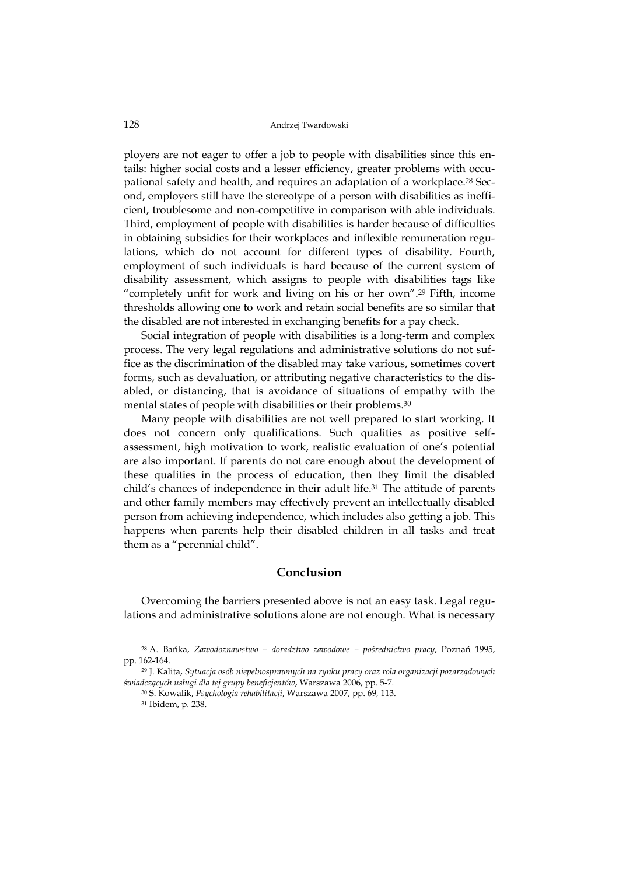ployers are not eager to offer a job to people with disabilities since this entails: higher social costs and a lesser efficiency, greater problems with occupational safety and health, and requires an adaptation of a workplace.28 Second, employers still have the stereotype of a person with disabilities as inefficient, troublesome and non-competitive in comparison with able individuals. Third, employment of people with disabilities is harder because of difficulties in obtaining subsidies for their workplaces and inflexible remuneration regulations, which do not account for different types of disability. Fourth, employment of such individuals is hard because of the current system of disability assessment, which assigns to people with disabilities tags like "completely unfit for work and living on his or her own".29 Fifth, income thresholds allowing one to work and retain social benefits are so similar that the disabled are not interested in exchanging benefits for a pay check.

Social integration of people with disabilities is a long-term and complex process. The very legal regulations and administrative solutions do not suffice as the discrimination of the disabled may take various, sometimes covert forms, such as devaluation, or attributing negative characteristics to the disabled, or distancing, that is avoidance of situations of empathy with the mental states of people with disabilities or their problems.30

Many people with disabilities are not well prepared to start working. It does not concern only qualifications. Such qualities as positive selfassessment, high motivation to work, realistic evaluation of one's potential are also important. If parents do not care enough about the development of these qualities in the process of education, then they limit the disabled child's chances of independence in their adult life.31 The attitude of parents and other family members may effectively prevent an intellectually disabled person from achieving independence, which includes also getting a job. This happens when parents help their disabled children in all tasks and treat them as a "perennial child".

## **Conclusion**

Overcoming the barriers presented above is not an easy task. Legal regulations and administrative solutions alone are not enough. What is necessary

<sup>28</sup> A. Bańka, *Zawodoznawstwo – doradztwo zawodowe – pośrednictwo pracy*, Poznań 1995, pp. 162-164.

<sup>29</sup> J. Kalita, *Sytuacja osób niepełnosprawnych na rynku pracy oraz rola organizacji pozarządowych świadczących usługi dla tej grupy beneficjentów*, Warszawa 2006, pp. 5-7.

<sup>30</sup> S. Kowalik, *Psychologia rehabilitacji*, Warszawa 2007, pp. 69, 113.

<sup>31</sup> Ibidem, p. 238.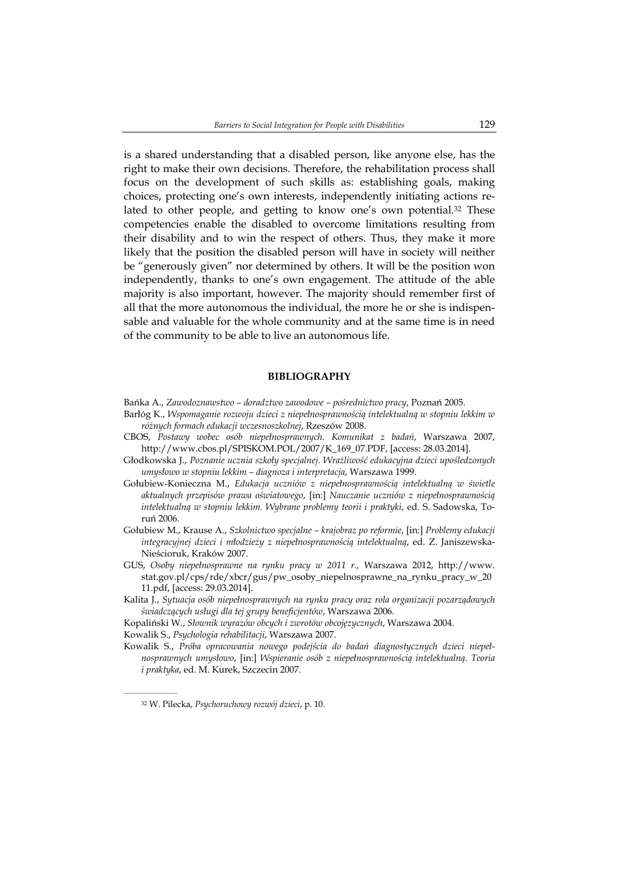is a shared understanding that a disabled person, like anyone else, has the right to make their own decisions. Therefore, the rehabilitation process shall focus on the development of such skills as: establishing goals, making choices, protecting one's own interests, independently initiating actions related to other people, and getting to know one's own potential.<sup>32</sup> These competencies enable the disabled to overcome limitations resulting from their disability and to win the respect of others. Thus, they make it more likely that the position the disabled person will have in society will neither be "generously given" nor determined by others. It will be the position won independently, thanks to one's own engagement. The attitude of the able majority is also important, however. The majority should remember first of all that the more autonomous the individual, the more he or she is indispensable and valuable for the whole community and at the same time is in need of the community to be able to live an autonomous life.

### **BIBLIOGRAPHY**

- Bańka A., *Zawodoznawstwo doradztwo zawodowe pośrednictwo pracy*, Poznań 2005.
- Barłóg K., *Wspomaganie rozwoju dzieci z niepełnosprawnością intelektualną w stopniu lekkim w różnych formach edukacji wczesnoszkolnej*, Rzeszów 2008.
- CBOS, *Postawy wobec osób niepełnosprawnych. Komunikat z badań*, Warszawa 2007, http://www.cbos.pl/SPISKOM.POL/2007/K\_169\_07.PDF, [access: 28.03.2014].
- Głodkowska J., *Poznanie ucznia szkoły specjalnej. Wrażliwość edukacyjna dzieci upośledzonych umysłowo w stopniu lekkim – diagnoza i interpretacja*, Warszawa 1999.
- Gołubiew-Konieczna M., *Edukacja uczniów z niepełnosprawnością intelektualną w świetle aktualnych przepisów prawa oświatowego*, [in:] *Nauczanie uczniów z niepełnosprawnością intelektualną w stopniu lekkim. Wybrane problemy teorii i praktyki*, ed. S. Sadowska, Toruń 2006.
- Gołubiew M., Krause A., *Szkolnictwo specjalne krajobraz po reformie*, [in:] *Problemy edukacji integracyjnej dzieci i młodzieży z niepełnosprawnością intelektualną*, ed. Z. Janiszewska-Nieścioruk, Kraków 2007.
- GUS, *Osoby niepełnosprawne na rynku pracy w 2011 r.,* Warszawa 2012, http://www. stat.gov.pl/cps/rde/xbcr/gus/pw\_osoby\_niepelnosprawne\_na\_rynku\_pracy\_w\_20 11.pdf, [access: 29.03.2014].
- Kalita J., *Sytuacja osób niepełnosprawnych na rynku pracy oraz rola organizacji pozarządowych świadczących usługi dla tej grupy beneficjentów*, Warszawa 2006.
- Kopaliński W., *Słownik wyrazów obcych i zwrotów obcojęzycznych*, Warszawa 2004.

Kowalik S., *Psychologia rehabilitacji*, Warszawa 2007.

Kowalik S., *Próba opracowania nowego podejścia do badań diagnostycznych dzieci niepełnosprawnych umysłowo*, [in:] *Wspieranie osób z niepełnosprawnością intelektualną. Teoria i praktyka*, ed. M. Kurek, Szczecin 2007.

 $\mathcal{L}=\mathcal{L}^{\mathcal{L}}$ 

<sup>32</sup> W. Pilecka, *Psychoruchowy rozwój dzieci*, p. 10.